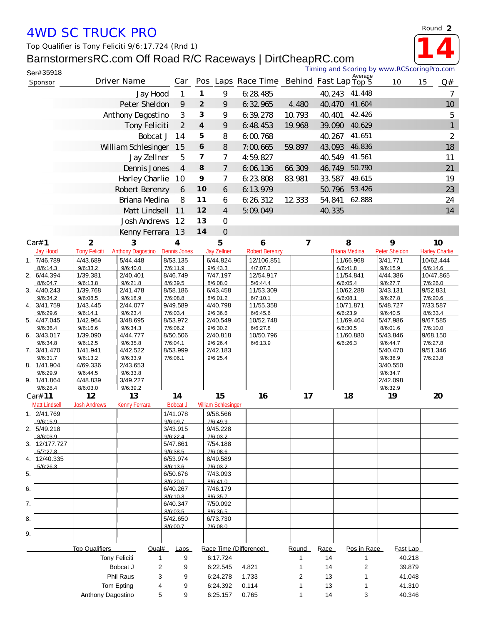## *4WD SC TRUCK PRO*

*Top Qualifier is Tony Feliciti 9/6:17.724 (Rnd 1)*

## BarnstormersRC.com Off Road R/C Raceways | DirtCheapRC.com



| Ser#35918                 |                                    |                          |                      |                         |                           |                                          |                |        |                       | Timing and Scoring by www.RCScoringPro.com |                       |
|---------------------------|------------------------------------|--------------------------|----------------------|-------------------------|---------------------------|------------------------------------------|----------------|--------|-----------------------|--------------------------------------------|-----------------------|
| Sponsor                   |                                    | Driver Name              | Car                  |                         |                           | Pos Laps Race Time Behind Fast Lap Top 5 |                |        | Average               | 10                                         | 15<br>Q#              |
|                           |                                    | Jay Hood                 | $\mathbf{1}$         | 1                       | 9                         | 6:28.485                                 |                | 40.243 | 41.448                |                                            | 7                     |
|                           |                                    | Peter Sheldon            | 9                    | $\overline{2}$          | 9                         | 6:32.965                                 | 4.480          | 40.470 | 41.604                |                                            | 10 <sup>°</sup>       |
|                           | Anthony Dagostino                  | 3                        | 3                    | 9                       | 6:39.278                  | 10.793                                   | 40.401         | 42.426 |                       | 5                                          |                       |
|                           |                                    | Tony Feliciti            | $\overline{2}$       | $\overline{\mathbf{4}}$ | 9                         | 6:48.453                                 | 19.968         | 39.090 | 40.629                |                                            | $\mathbf{1}$          |
|                           |                                    | Bobcat J                 | 14                   | 5                       | 8                         | 6:00.768                                 |                | 40.267 | 41.651                |                                            | $\overline{2}$        |
|                           | William Schlesinger                |                          |                      | 6                       | 8                         | 7:00.665                                 | 59.897         | 43.093 | 46.836                |                                            | 18                    |
|                           |                                    | Jay Zellner              | 5                    | $\overline{\mathbf{z}}$ | $\overline{7}$            | 4:59.827                                 |                | 40.549 | 41.561                |                                            | 11                    |
|                           |                                    | Dennis Jones             | $\overline{4}$       | 8                       | $\overline{7}$            | 6.06.136                                 | 66.309         | 46.749 | 50.790                |                                            | 21                    |
|                           |                                    | Harley Charlie           | 10                   | 9                       | 7                         | 6:23.808                                 | 83.981         | 33.587 | 49.615                |                                            | 19                    |
|                           |                                    | Robert Berenzy           | 6                    | 10                      | 6                         | 6:13.979                                 |                | 50.796 | 53.426                |                                            | 23                    |
|                           |                                    | Briana Medina            | 8                    | 11                      | 6                         | 6:26:312                                 | 12 3 33        | 54.841 | 62.888                |                                            | 24                    |
|                           |                                    | Matt Lindsell            | 11                   | 12                      | $\overline{4}$            | 5:09.049                                 |                | 40.335 |                       |                                            | 14                    |
|                           |                                    | Josh Andrews             | 12                   | 13                      | $\overline{O}$            |                                          |                |        |                       |                                            |                       |
|                           |                                    | Kenny Ferrara            | 13                   | 14                      | $\overline{O}$            |                                          |                |        |                       |                                            |                       |
| Car# 1                    | $\overline{2}$                     | 3                        | 4                    |                         | 5                         | 6                                        | $\overline{7}$ |        | 8                     | 9                                          | 10                    |
| Jay Hood                  | <b>Tony Feliciti</b>               | <b>Anthony Dagostino</b> | <b>Dennis Jones</b>  |                         | <b>Jay Zellner</b>        | <b>Robert Berenzy</b>                    |                |        | <b>Briana Medina</b>  | Peter Sheldon                              | <b>Harley Charlie</b> |
| 1. 7/46.789<br>8/6:14.3   | 4/43.689<br>9/6:33.2               | 5/44.448<br>9/6:40.0     | 8/53.135<br>7/6:11.9 |                         | 6/44.824<br>9/6:43.3      | 12/106.851<br>4/7:07.3                   |                |        | 11/66.968<br>6/6:41.8 | 3/41.771<br>9/6:15.9                       | 10/62.444<br>6/6:14.6 |
| 2. 6/44.394               | 1/39.381                           | 2/40.401                 | 8/46.749             |                         | 7/47.197                  | 12/54.917                                |                |        | 11/54.841             | 4/44.386                                   | 10/47.865             |
| 8/6.047<br>3. 4/40.243    | 9/6.13.8<br>1/39.768               | 9/6:21.8<br>2/41.478     | 8/6:39.5<br>8/58.186 |                         | 8/6:08.0<br>6/43.458      | 5/6:44.4<br>11/53.309                    |                |        | 6/6.05.4<br>10/62.288 | 9/6:27.7<br>3/43.131                       | 7/6:26.0<br>9/52.831  |
| 9/6:34.2                  | 9/6:08.5                           | 9/6:18.9                 | 7/6:08.8             |                         | 8/6:01.2                  | 6/7:10.1                                 |                |        | 6/6:08.1              | 9/6:27.8                                   | 7/6:20.6              |
| 4. 3/41.759               | 1/43.445                           | 2/44.077                 | 9/49.589             |                         | 4/40.798                  | 11/55.358                                |                |        | 10/71.871             | 5/48.727                                   | 7/33.587              |
| 9/6:29.6<br>5. 4/47.045   | 9/6:14.1<br>1/42.964               | 9/6:23.4<br>3/48.695     | 7/6:03.4<br>8/53.972 |                         | 9/6:36.6<br>2/40.549      | 6/6:45.6<br>10/52.748                    |                |        | 6/6:23.9<br>11/69.464 | 9/6:40.5<br>5/47.986                       | 8/6:33.4<br>9/67.585  |
| 9/6.364                   | 9/6.166                            | 9/6:34.3                 | 7/6:06.2             |                         | 9/6:30.2                  | 6/6:27.8                                 |                |        | 6/6:30.5              | 8/6:016                                    | 7/6:10.0              |
| 6. 3/43.017<br>9/6:34.8   | 1/39.090<br>9/6:12.5               | 4/44.777<br>9/6:35.8     | 8/50.506<br>7/6:04.1 |                         | 2/40.818<br>9/6:26.4      | 10/50.796<br>6/6:13.9                    |                |        | 11/60.880<br>6/6:26.3 | 5/43.846<br>9/6:44.7                       | 9/68.150<br>7/6:27.8  |
| 7. 3/41.470               | 1/41.941                           | 4/42.522                 | 8/53.999             |                         | 2/42.183                  |                                          |                |        |                       | 5/40.470                                   | 9/51.346              |
| 9/6:31.7<br>8. 1/41.904   | 9/6:13.2<br>4/69.336               | 9/6:33.9<br>2/43.653     | 7/6:06.1             |                         | 9/6:25.4                  |                                          |                |        |                       | 9/6:38.9<br>3/40.550                       | 7/6:23.8              |
| 9/6:29.9                  | 9/6:44.5                           | 9/6:33.8                 |                      |                         |                           |                                          |                |        |                       | 9/6:34.7                                   |                       |
| 9. 1/41.864               | 4/48.839                           | 3/49.227<br>9/6:39.2     |                      |                         |                           |                                          |                |        |                       | 2/42.098<br>9/6:32.9                       |                       |
| 9/6:28.4<br>Car# 11       | 8/6:03.0<br>12                     | 13                       | 14                   |                         | 15                        | 16                                       | 17             |        | 18                    | 19                                         | 20                    |
| <b>Matt Lindsell</b>      | <b>Josh Andrews</b>                | <b>Kenny Ferrara</b>     | <b>Bobcat J</b>      |                         | <b>Miliam Schlesinger</b> |                                          |                |        |                       |                                            |                       |
| 1. 2/41.769               |                                    |                          | 1/41.078             |                         | 9/58.566                  |                                          |                |        |                       |                                            |                       |
| 9/6:15.9<br>2. 5/49.218   |                                    |                          | 9/6:09.7<br>3/43.915 |                         | 7/6:49.9<br>9/45.228      |                                          |                |        |                       |                                            |                       |
| 8/6:03.9                  |                                    |                          | 9/6:22.4             |                         | 7/6:03.2                  |                                          |                |        |                       |                                            |                       |
| 3. 12/177.727<br>5/7.27.8 |                                    |                          | 5/47.861<br>9/6:38.5 |                         | 7/54.188<br>7/6.086       |                                          |                |        |                       |                                            |                       |
| 4. 12/40.335              |                                    |                          | 6/53.974             |                         | 8/49.589                  |                                          |                |        |                       |                                            |                       |
| 5/6:26.3<br>5.            |                                    |                          | 8/6:13.6<br>6/50.676 |                         | 7/6:03.2<br>7/43.093      |                                          |                |        |                       |                                            |                       |
|                           |                                    |                          | 8/6:20.0             |                         | 8/6:41.0                  |                                          |                |        |                       |                                            |                       |
| 6.                        |                                    |                          | 6/40.267             |                         | 7/46.179                  |                                          |                |        |                       |                                            |                       |
| 7.                        |                                    |                          | 8/6.10.3<br>6/40.347 |                         | 8/6:35.7<br>7/50.092      |                                          |                |        |                       |                                            |                       |
|                           |                                    |                          | 8/6:03.5             |                         | 8/6:36.5                  |                                          |                |        |                       |                                            |                       |
| 8.                        |                                    |                          | 5/42.650<br>8/6:00.7 |                         | 6/73.730<br>7/6:08.0      |                                          |                |        |                       |                                            |                       |
| 9.                        |                                    |                          |                      |                         |                           |                                          |                |        |                       |                                            |                       |
|                           | <b>Top Qualifiers</b>              |                          | Laps                 |                         |                           | Race Time (Difference)                   | Round          | Race   | Pos in Race           | Fast Lap                                   |                       |
|                           | Qual#<br><b>Tony Feliciti</b><br>1 |                          |                      |                         | 6:17.724                  |                                          | 1              | 14     | 1                     | 40.218                                     |                       |
|                           | Bobcat J<br>2                      |                          |                      |                         | 6:22.545<br>4.821         |                                          | 1              | 14     | 2                     | 39.879                                     |                       |
|                           |                                    | Phil Raus<br>3           | 9                    |                         | 6:24.278                  | 1.733                                    | 2              | 13     | 1                     | 41.048                                     |                       |
|                           |                                    | Tom Epting<br>4          | 9                    |                         | 6:24.392                  | 0.114                                    | 1              | 13     | 1                     | 41.310                                     |                       |
|                           | Anthony Dagostino                  | 5                        | 9                    |                         | 6:25.157                  | 0.765                                    |                | 14     | 3                     | 40.346                                     |                       |